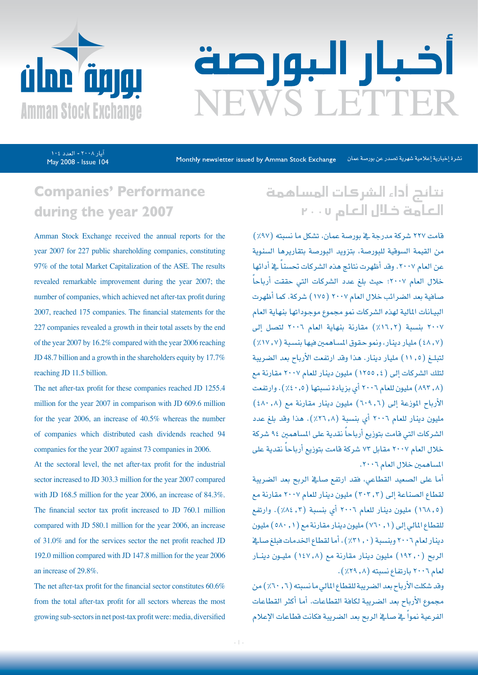

# اخبار البورصة **EWS LETTER**

May 2008 - Issue 104 یار ۲۰۰۸ - العدد ۱۰٤

نشرة إخبارية إعلامية شهرية تصدر عن بورصة عمان Monthly newsletter issued by Amman Stock Exchange

## **Companies' Performance** during the year 2007

Amman Stock Exchange received the annual reports for the year 2007 for 227 public shareholding companies, constituting 97% of the total Market Capitalization of the ASE. The results revealed remarkable improvement during the year 2007; the number of companies, which achieved net after-tax profit during 2007, reached 175 companies. The financial statements for the 227 companies revealed a growth in their total assets by the end of the year  $2007$  by  $16.2\%$  compared with the year  $2006$  reaching JD 48.7 billion and a growth in the shareholders equity by  $17.7\%$ reaching JD 11.5 billion.

The net after-tax profit for these companies reached JD 1255.4 million for the year 2007 in comparison with JD 609.6 million for the year 2006, an increase of  $40.5\%$  whereas the number of companies which distributed cash dividends reached 94 companies for the year 2007 against 73 companies in 2006.

At the sectoral level, the net after-tax profit for the industrial sector increased to JD 303.3 million for the year 2007 compared with JD 168.5 million for the year 2006, an increase of  $84.3\%$ . The financial sector tax profit increased to JD 760.1 million compared with JD 580.1 million for the year 2006, an increase of 31.0% and for the services sector the net profit reached JD 192.0 million compared with JD 147.8 million for the year 2006 an increase of 29.8%.

The net after-tax profit for the financial sector constitutes  $60.6\%$ from the total after-tax profit for all sectors whereas the most growing sub-sectors in net post-tax profit were: media, diversified

## نتائج أداء ال�سركات امل�ساهمة العامة خالل العام 2007

قامت ٢٢٧ شركة مدرجة ية بورصة عمان، تشكل ما نسبته (٩٧٪) من القيمة السوقية للبورصة، بتزويد البورصة بتقاريرها السنوية عن العام ٢٠٠٧. وقد أظهرت نتائج هذه الشركات تحسناً في أدائها ֧֖֖֖֖֖֚֚֚֚֚֚֚֚֟֓֕<br>֧֝֩֩֩֩֩ خالل العام 2007؛ حيث بلغ عدد ال�شركات التي حققت أرباحا �صافية بعد ال�ضرائب خالل العام 2007 )175( �شركة. كما أظهرت البيـانات المالية لهذه الشركات نمو مجموع موجوداتها بنهاية العام ٢٠٠٧ بنسبة (١٦,٢٪) مقارنة بنهاية العام ٢٠٠٦ لتصل إلى  $(21V, V)$  مليار دينار، ونمو حقوق المساهمين فيها بنسبة (٧, ١٧.7) لتبلــغ )11.5( مليار دينار. هذا وقد ارتفعت الأرباح بعد ال�ضريبة لتلك ال�شركات إىل )1255.4( مليون دينار للعام 2007 مقارنة مع )893.8( مليون للعام 2006 أي بزيادة ن�سبتها )%40.5(. وارتفعت الأرباح الموزعة إلى (٦٠٩,٦) مليون دينار مقارنة مع (٤٨٠,٨) مليون دينار للعام 2006 أي بن�سبة )%26.8(. هذا وقد بلغ عدد الشركات التي قامت بتوزيع أرباحاً نقدية على المساهمين ٩٤ شركة خلال العام ٢٠٠٧ مقابل ٧٣ شركة قامت بتوزيع أرباحاً نقدية على المساهمين خلال العام ٢٠٠٦.

أما على ال�صعيد القطاعي، فقد ارتفع �صايف الربح بعد ال�ضريبة لقطاع ال�صناعة إىل )303.3( مليون دينار للعام 2007 مقارنة مع )168.5( مليون دينار للعام 2006 أي بن�سبة )%84.3(. وارتفع للقطاع المالي إلى ( ١ , ٧٦٠) مليون دينار مقارنة مع ( ١ , ٥٨٠) مليون دينار لعام ٢٠٠٦ وبنسبة (٠, ٣١٪)، أما لقطاع الخدمات فبلغ صائح الربح (١٩٢٠) مليون دينار مقارنة مع (١٤٧.٨) مليـون دينـار لعام ٢٠٠٦ بارتفاع نسبته (٨, ٢٩٪).

وقد شكلت الأرباح بعد الضريبة للقطاع المالي ما نسبته (٦, ٦٠٪) من مجموع الأرباح بعد الضريبة لكافة القطاعات. أما أكثر القطاعات الفرعية نمواً في صالخ الربح بعد الضريبة فكانت قطاعات الإعلام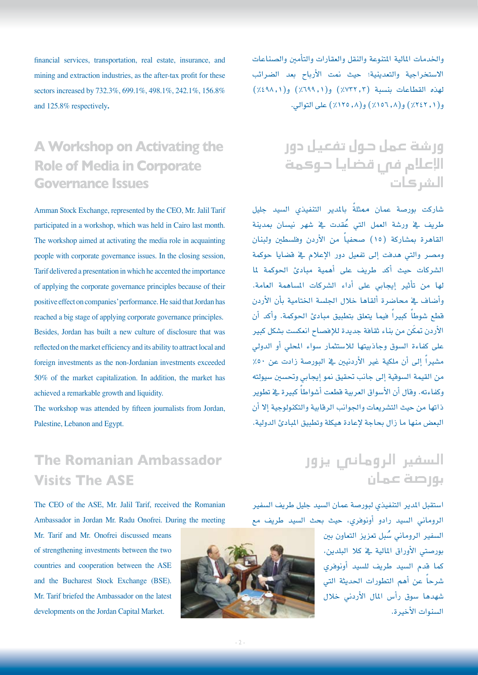financial services, transportation, real estate, insurance, and mining and extraction industries, as the after-tax profit for these sectors increased by 732.3%, 699.1%, 498.1%, 242.1%, 156.8% and 125.8% respectively.

## **A Workshop on Activating the Role of Media in Corporate Governance Issues**

Amman Stock Exchange, represented by the CEO, Mr. Jalil Tarif participated in a workshop, which was held in Cairo last month. The workshop aimed at activating the media role in acquainting people with corporate governance issues. In the closing session, Tarif delivered a presentation in which he accented the importance of applying the corporate governance principles because of their positive effect on companies' performance. He said that Jordan has reached a big stage of applying corporate governance principles. Besides, Jordan has built a new culture of disclosure that was reflected on the market efficiency and its ability to attract local and foreign investments as the non-Jordanian investments exceeded  $50\%$  of the market capitalization. In addition, the market has achieved a remarkable growth and liquidity.

The workshop was attended by fifteen journalists from Jordan, Palestine, Lebanon and Egypt.

**The Romanian Ambassador Visits The ASE** 

The CEO of the ASE, Mr. Jalil Tarif, received the Romanian Ambassador in Jordan Mr. Radu Onofrei. During the meeting

Mr. Tarif and Mr. Onofrei discussed means of strengthening investments between the two countries and cooperation between the ASE and the Bucharest Stock Exchange (BSE). Mr. Tarif briefed the Ambassador on the latest developments on the Jordan Capital Market.



والخدمات المالية المتنوعة والنقل والعقارات والتأمين والصناعات اال�ستخراجية والتعدينية؛ حيث منت الأرباح بعد ال�ضرائب لهذه القطاعات بنسبة (٢, ٢٢٢٪) و(١, ٤٩٨٪) و(١, ٤٩٨٪) و)%242.1( و)%156.8( و)%125.8( على التوايل.

> ور�شة عمل حول تفعيل دور الإعلام فص قضايا حوكمة ال�سركات

شاركت بورصة عمان ممثلةً بالمدير التنفيذي السيد جليل طريف يڤ ورشة العمل التي عُقدت يڤ شهر نيسان بمدينة القاهرة بمشاركة (١٥) صحفياً من الأردن وفلسطين ولبنان ومصر والتي هدفت إلى تفعيل دور الإعلام ية قضايا حوكمة ال�شركات حيث أكد طريف على أهمية مبادئ احلوكمة ملا لها من تأثري إيجابي على أداء ال�شركات امل�ساهمة العامة. وأضاف ية محاضرة ألقاها خلال الجلسة الختامية بأن الأردن قطع شوطاً كبيراً فيما يتعلق بتطبيق مبادئ الحوكمة. وأكد أن الأردن تمكّن من بناء ثقافة جديدة للإفصاح انعكست بشكل كبير على كفاءة السوق وجاذبيتها للاستثمار سواء المحلي أو الدولي مشيراً إلى أن ملكية غير الأردنيين في البورصة زادت عن ٥٠٪ من القيمة السوقية إلى جانب تحقيق نمو إيجابي وتحسين سيولته وكفاءته. وقال أن الأسواق العربية قطعت أشواطاً كبيرة في تطوير ذاتها من حيث التشريعات والجوانب الرقابية والتكنولوجية إلا أن البعض منها ما زال بحاجة لإعادة هيكلة وتطبيق المبادئ الدولية.

> ال�سفري الروماين يزور بور�صة عمان

استقبل المدير التنفيذي لبورصة عمان السيد جليل طريف السفير الروماين ال�سيد رادو أونوفري، حيث بحث ال�سيد طريف مع

> السفير الرومان*ي سُبل* تعزيز التعاون بين بور�صتي الأوراق املالية يف كال البلدين، كما قدم ال�سيد طريف لل�سيد أونوفري ً عن أهم التطورات احلديثة التي �شرحا شهدها سوق رأس المال الأردنى خلال ال�سنوات الأخرية.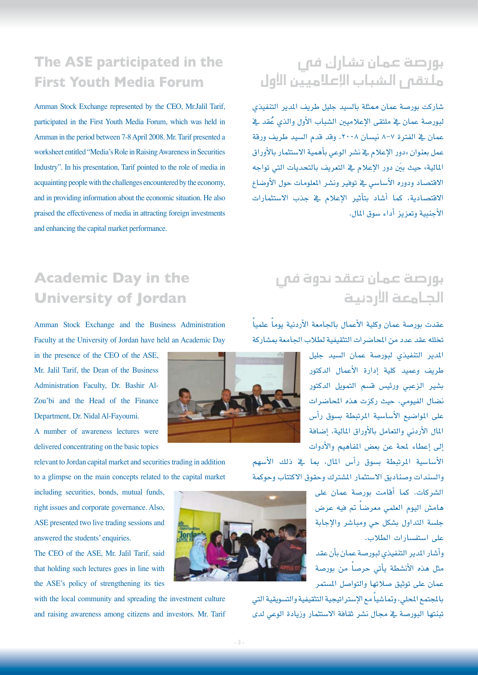## **The ASE participated in the First Youth Media Forum**

Amman Stock Exchange represented by the CEO, Mr.Jalil Tarif, participated in the First Youth Media Forum, which was held in Amman in the period between 7-8 April 2008. Mr. Tarif presented a worksheet entitled "Media's Role in Raising Awareness in Securities Industry". In his presentation, Tarif pointed to the role of media in acquainting people with the challenges encountered by the economy, and in providing information about the economic situation. He also praised the effectiveness of media in attracting foreign investments and enhancing the capital market performance.

## بورصة عمان تشارك فم ر ملتقى ال�شباب الإعالميني الأول

شاركت بورصة عمان ممثلة بالسيد جليل طريف المدير التنفيذي لبورصة عمان يف ملتقى الإعلاميين الشباب الأول والذي عُقد يف عمان يف الفترة ٧-٨ نيسان ٢٠٠٨. وقد قدم السيد طريف ورقة عمل بعنوان »دور الإعالم يف ن�شر الوعي بأهمية اال�ستثمار بالأوراق المالية» حيث بيّن دور الإعلام في التعريف بالتحديات التي تواجه الاقتصاد ودوره الأساسي يف توفير ونشر الملومات حول الأوضاع الاقتصادية، كما أشاد بتأثير الإعلام <u>ي</u>ة جذب الاستثمارات الأجنبية وتعزيز أداء �سوق املال.

## **Academic Day in the University of Jordan**

Amman Stock Exchange and the Business Administration Faculty at the University of Jordan have held an Academic Day

in the presence of the CEO of the ASE, Mr. Jalil Tarif, the Dean of the Business Zou'bi and the Head of the Finance Administration Faculty, Dr. Bashir Al-Department, Dr. Nidal Al-Fayoumi. A number of awareness lectures were

delivered concentrating on the basic topics

relevant to Jordan capital market and securities trading in addition to a glimpse on the main concepts related to the capital market

including securities, bonds, mutual funds, right issues and corporate governance. Also, ASE presented two live trading sessions and answered the students' enquiries.

The CEO of the ASE, Mr. Jalil Tarif, said that holding such lectures goes in line with the ASE's policy of strengthening its ties

with the local community and spreading the investment culture and raising awareness among citizens and investors. Mr. Tarif



# بورصة عمان تعقد ندوة فى اجلامعة الأردنية

ً عقدت بورصة عمان وكلية الأعمال بالجامعة الأردنية يوماً علمياً تخلله عقد عدد من المحاضرات التثقيفية لطلاب الجامعة بمشاركة

> املدير التنفيذي لبور�صة عمان ال�سيد جليل طريف وعميد كلية إدارة الأعمال الدكتور .<br>بشير الزع*بي و*رئيس قسم التمويل ال*د*كتور .<br>نضال الفيومي، حيث ركزت هذه المحاضرات على المواضيع الأساسية المرتبطة بسوق رأس املال الأردين والتعامل بالأوراق املالية، إ�ضافة إلى إعطاء لمحة عن بعض المفاهيم والأدوات

الأساسية المرتبطة بسوق رأس المال، بما ية ذلك الأسهم والسندات وصناديق الاستثمار المشترك وحقوق الاكتتاب وحوكمة

> ال�شركات. كما أقامت بور�صة عمان على هامش اليوم العلمي معرضاً تم فيه عرض جل�سة التداول ب�شكل حي ومبا�شر والإجابة على استفسارات الطلاب.

> وأ�شار املدير التنفيذي لبور�صة عمان بأن عقد مثل هذه الأنشطة يأتي حرصاً من بورصة عمان على توثيق صلاتها والتواصل المستمر

بالمجتمع المحلي، وتماشياً مع الإستراتيجية التثقيفية والتسويقية التي تبنتها البورصة يف مجال نشر ثقافة الاستثمار وزيادة الوعي لدى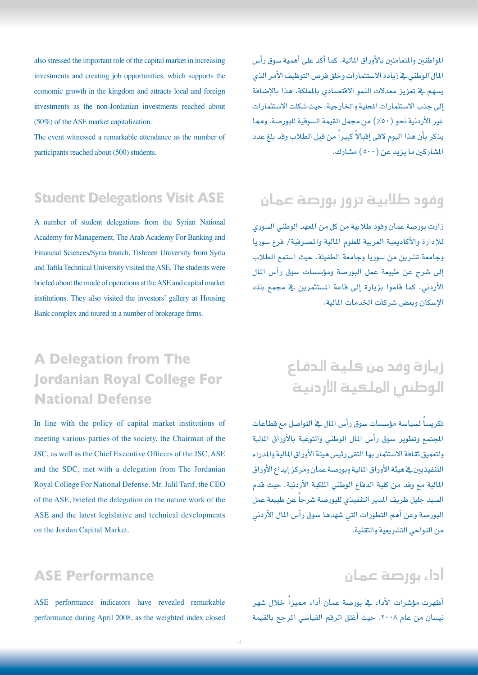also stressed the important role of the capital market in increasing investments and creating job opportunities, which supports the economic growth in the kingdom and attracts local and foreign investments as the non-Jordanian investments reached about  $(50\%)$  of the ASE market capitalization.

The event witnessed a remarkable attendance as the number of participants reached about (500) students.

## **Student Delegations Visit ASE**

A number of student delegations from the Syrian National Academy for Management, The Arab Academy For Banking and Financial Sciences/Syria branch, Tishreen University from Syria and Tafila Technical University visited the ASE. The students were briefed about the mode of operations at the ASE and capital market institutions. They also visited the investors' gallery at Housing Bank complex and toured in a number of brokerage firms.

## **A Delegation from The Iordanian Royal College For National Defense**

In line with the policy of capital market institutions of meeting various parties of the society, the Chairman of the JSC, as well as the Chief Executive Officers of the JSC, ASE and the SDC, met with a delegation from The Jordanian Royal College For National Defense. Mr. Jalil Tarif, the CEO of the ASE, briefed the delegation on the nature work of the ASE and the latest legislative and technical developments on the Jordan Capital Market.

## المواطنين والمتعاملين بالأوراق المالية. كما أكد على أهمية سوق رأس المال الوطني يف زيادة الاستثمارات وخلق فرص التوظيف الأمر الذي يسهم يف تعزيز معدلات النمو الاقتصادي بالملكة، هذا بالإضافة إىل جذب اال�ستثمارات املحلية واخلارجية، حيث �شكلت اال�ستثمارات غير الأردنية نحو ( ٥٠٪) من مجمل القيمة السوقية للبورصة. ومما يذكر بأن هذا اليوم لاقى إقبالاً كبيراً من قبل الطلاب وقد بلغ عدد المشاركين ما يزيد عن (٥٠٠) مشارك.

# وفود طالبية تزور بور�صة عمان

زارت بورصة عمان وفود طلابية من كل من المهد الوطني السوري للإدارة والأكاديمية العربية للعلوم المالية والمصرفية/ فرع سوريا وجامعة ت�شرين من �سوريا وجامعة الطفيلة. حيث ا�ستمع الطالب إلى شرح عن طبيعة عمل البورصة ومؤسسات سوق رأس المال الأردني، كما قاموا بزيارة إلى قاعة المستثمرين يف مجمع بنك الإ�سكان وبع�ض �شركات اخلدمات املالية.

# زيارة وفد من كلية الدفاع الوطني الملعية الأردنية

تكريساً لسياسة مؤسسات سوق رأس المال <u>ه</u> التواصل مع قطاعات المجتمع وتطوير سوق رأس المال الوطني والتوعية بالأوراق المالية ولتعميق ثقافة الاستثمار بها التقى رئيس هيئة الأوراق المالية والمدراء التنفيذيني يف هيئة الأوراق املالية وبور�صة عمان ومركز إيداع الأوراق املالية مع وفد من كلية الدفاع الوطني امللكية الأردنية، حيث قدم السيد جليل طريف المدير التنفيذي للبورصة شرحاً عن طبيعة عمل البورصة وعن أهم التطورات التي شهدها سوق رأس المال الأردني من النواحي الت�شريعية والتقنية.

#### **ASE Performance**

ASE performance indicators have revealed remarkable performance during April 2008, as the weighted index closed

## أداء بور�صة عمان

ظهرت مؤشرات الأداء في بورصة عمان أداء مميزاً خلال شهر نيسان من عام ٢٠٠٨. حيث أغلق الرقم القياسي المرجح بالقيمة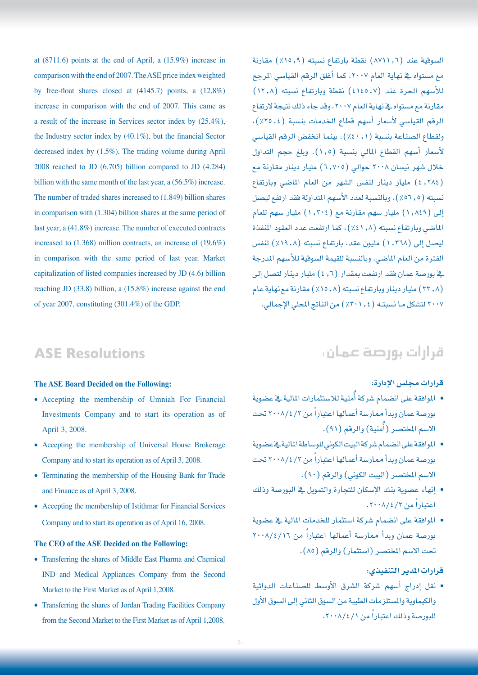at  $(8711.6)$  points at the end of April, a  $(15.9%)$  increase in comparison with the end of 2007. The ASE price index weighted by free-float shares closed at  $(4145.7)$  points, a  $(12.8\%)$ increase in comparison with the end of 2007. This came as a result of the increase in Services sector index by  $(25.4\%)$ , the Industry sector index by  $(40.1\%)$ , but the financial Sector decreased index by  $(1.5\%)$ . The trading volume during April 2008 reached to JD  $(6.705)$  billion compared to JD  $(4.284)$ billion with the same month of the last year, a  $(56.5\%)$  increase. The number of traded shares increased to (1.849) billion shares in comparison with  $(1.304)$  billion shares at the same period of last year, a  $(41.8\%)$  increase. The number of executed contracts increased to  $(1.368)$  million contracts, an increase of  $(19.6\%)$ in comparison with the same period of last year. Market capitalization of listed companies increased by JD (4.6) billion reaching JD  $(33.8)$  billion, a  $(15.8\%)$  increase against the end of year 2007, constituting  $(301.4\%)$  of the GDP.

السوقية عند (٦, ٨٧١١) نقطة بارتفاع نسبته (٩, ١٥٪) مقارنة مع مستواه يف نهاية العام ٢٠٠٧، كما أغلق الرقم القياسي المرجح للأسهم الحرة عند (4,0120) نقطة وبارتفاع نسبته (11, 11) مقارنة مع مستواه يخ نهاية العام ٢٠٠٧، وقد جاء ذلك نتيجة لارتفاع الرقم القياسي لأسعار أسهم قطاع الخدمات بنسبة (٤, ٢٥٪)، ولقطاع الصناعة بنسبة (٠,٤٠,١)، بينما انخفض الرقم القياسي لأسعار أسهم القطاع المالي بنسبة (١,٥). وبلغ حجم التداول خلال شهر نيسان ٢٠٠٨ حوالي (٦,٧٠٥) مليار دينار مقارنة مع )4.284( مليار دينار لنف�س ال�شهر من العام املا�ضي وبارتفاع نسبته (٥٦,٥٪). وبالنسبة لعدد الأسهم المتداولة فقد ارتفع ليصل إلى (١,٨٤٩) مليار سهم مقارنة مع (١,٣٠٤) مليار سهم للعام الماضي وبارتفاع نسبته (١, ٤١٪)، كما ارتفعت عدد العقود المنفذة ليصل إلى (١,٢٦٨) مليون عقد، بارتفاع نسبته (١٩,٨٪) لنفس الفترة من العام الماضي. وبالنسبة للقيمة السوقية للأسهم المدرجة ية بورصة عمان فقد ارتفعت بمقدار (1, ٤) مليار دينار لتصل إلى )33.8( مليار دينار وبارتفاع ن�سبته )%15.8( مقارنة مع نهاية عام 2007 لت�شكل مـا ن�سبتــه )%301.4( من الناجت املحلي الإجمايل.

## **ASE Resolutions**

#### **The ASE Board Decided on the Following:**

- Accepting the membership of Umniah For Financial Investments Company and to start its operation as of April 3, 2008.
- Accepting the membership of Universal House Brokerage Company and to start its operation as of April 3, 2008.
- Terminating the membership of the Housing Bank for Trade and Finance as of April 3, 2008.
- Accepting the membership of Istithmar for Financial Services Company and to start its operation as of April 16, 2008.

#### The CEO of the ASE Decided on the Following:

- Transferring the shares of Middle East Pharma and Chemical IND and Medical Appliances Company from the Second Market to the First Market as of April 1,2008.
- Transferring the shares of Jordan Trading Facilities Company from the Second Market to the First Market as of April 1,2008.

## قرارات بور�صة عمان:

#### **قرارات جمل�س الإدارة:**

- املوافقة على ان�ضمام �شركة أُمنية لال�ستثمارات املالية يف ع�ضوية بورصة عمان وبدأ ممارسة أعمالها اعتباراً من ٢٠٠٨/٤/٢ تحت الاسم المختصر (أُمنية) والرقم (٩١).
- املوافقة على ان�ضمام �شركة البيت الكوين للو�ساطة املالية يف ع�ضوية بورصة عمان وبدأ ممارسة أعمالها اعتباراً من ٢٠٠٨/٤/٢ تحت الاسم المختصر (البيت الكوني) والرقم (٩٠).
- إنهاء ع�ضوية بنك الإ�سكان للتجارة والتمويل يف البور�صة وذلك اعتباراً من ٢/٤/٢.٠٠٨.
- املوافقة على ان�ضمام �شركة ا�ستثمار للخدمات املالية يف ع�ضوية بورصة عمان وبدأ ممارسة أعمالها اعتباراً من ٢٠٠٨/٤/١٦ تحت الاسم المختصر (استثمار) والرقم (٨٥).

#### **قرارات املدير التنفيذي:**

• نقل إدراج أ�سهم �شركة ال�شرق الأو�سط لل�صناعات الدوائية والكيماوية والمستلزمات الطبية من السوق الثاني إلى السوق الأول للبورصة وذلك اعتباراً من ١ / ٢٠٠٨.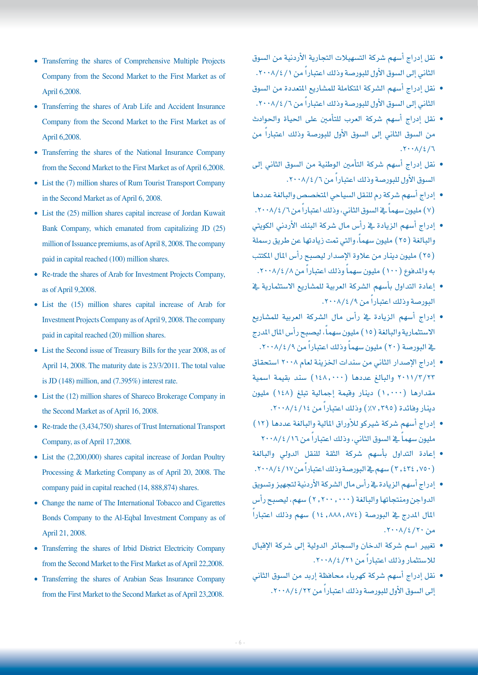- نقل إدراج أ�سهم �شركة الت�سهيالت التجارية الأردنية من ال�سوق الثاني إلى السوق الأول للبورصة وذلك اعتباراً من ١ / ٢٠٠٨.
- نقل إدراج أسهم الشركة المتكاملة للمشاريع المتعددة من السوق الثاني إلى السوق الأول للبورصة وذلك اعتباراً من ١/ ٢٠٠٨.
- نقل إدراج أسهم شركة العرب للتأمين على الحياة والحوادث من السوق الثاني إلى السوق الأول للبورصة وذلك اعتباراً من  $.7.1/2/7$
- نقل إدراج أسهم شركة التأمين الوطنية من السوق الثاني إلى السوق الأول للبورصة وذلك اعتباراً من ٢٠٠٨/٤/٦.
- إدراج أ�سهم �شركة رم للنقل ال�سياحي املتخ�ص�ص والبالغة عددها (٧) مليون سهماً \_⊈ السوق الثاني، وذلك اعتباراً من ١/ ٢٠٠٨.
- إدراج أ�سهم الزيادة يف رأ�س مال �شركة البنك الأردين الكويتي والبالغة (٢٥) مليون سهماً، والتي تمت زيادتها عن طريق رسملة )25( مليون دينار من عالوة الإ�صدار لي�صبح رأ�س املال املكتتب به والمدفوع (١٠٠) مليون سهماً وذلك اعتباراً من ٨/٤/٨.
- إعادة التداول بأسهم الشركة العربية للمشاريع الاستثمارية <u>ي</u>خ البورصة وذلك اعتباراً من ١٩/٤/٨/٢٠٠٨.
- إدراج أ�سهم الزيادة يف رأ�س مال ال�شركة العربية للم�شاريع الاستثمارية والبالغة (١٥) مليون سهماً، ليصبح رأس المال المدرج يخ البورصة ( ٢٠ ) مليون سهماً وذلك اعتباراً من ٩ / ٢٠٠٨.
- إدراج الإ�صدار الثاين من �سندات اخلزينة لعام 2008 ا�ستحقاق 2011/3/23 والبالغ عددها )148.000( �سند بقيمة ا�سمية مقدارها )1.000( دينار وقيمة إجمالية تبلغ )148( مليون دينار وفائدة (٣٩٥, ٧٪) وذلك اعتباراً من ١٤/٤/١٠١٤.
- إدراج أ�سهم �شركة �شريكو للأوراق املالية والبالغة عددها )12( مليون سهماً في السوق الثاني، وذلك اعتباراً من ٢٠٠٨/٤/١٦
- إعادة التداول بأ�سهم �شركة الثقة للنقل الدويل والبالغة (٢٠٤٢٤, ٣) سهم في البورصة وذلك اعتباراً من١٧/٤/١٠٠٨.
- إدراج أ�سهم الزيادة يف رأ�س مال ال�شركة الأردنية لتجهيز وت�سويق الدواجن ومنتجاتها والبالغة (٢٠٠٠, ٢٠٠. ) سهم، ليصبح رأس ֧֖֖֖֖֚֚֚֚֚֚֟֓֕֩֩֩֓֓֝֓**֓**֖֚֓ المال المدرج يف البورصة (١٤,٨٨٨,٨٧٤) سهم وذلك اعتباراً  $.7 \cdot \lambda / 2 / 7 \cdot$
- تغيري ا�سم �شركة الدخان وال�سجائر الدولية إىل �شركة الإقبال للاستثمار وذلك اعتباراً من ٢١/٤/٢١.
- نقل إدراج أ�سهم �شركة كهرباء حمافظة إربد من ال�سوق الثاين لى السوق الأول للبورصة وذلك اعتباراً من ٢٢/٤/٢٢.
- Transferring the shares of Comprehensive Multiple Projects Company from the Second Market to the First Market as of April 6,2008.
- Transferring the shares of Arab Life and Accident Insurance Company from the Second Market to the First Market as of April 6,2008.
- Transferring the shares of the National Insurance Company from the Second Market to the First Market as of April 6,2008.
- List the (7) million shares of Rum Tourist Transport Company in the Second Market as of April 6, 2008.
- $\bullet$  List the (25) million shares capital increase of Jordan Kuwait Bank Company, which emanated from capitalizing JD (25) million of Issuance premiums, as of April 8, 2008. The company paid in capital reached (100) million shares.
- Re-trade the shares of Arab for Investment Projects Company, as of April 9,2008.
- $\bullet$  List the (15) million shares capital increase of Arab for Investment Projects Company as of April 9, 2008. The company paid in capital reached (20) million shares.
- List the Second issue of Treasury Bills for the year 2008, as of April 14, 2008. The maturity date is 23/3/2011. The total value is JD (148) million, and  $(7.395\%)$  interest rate.
- $\bullet$  List the (12) million shares of Shareco Brokerage Company in the Second Market as of April 16, 2008.
- Re-trade the  $(3,434,750)$  shares of Trust International Transport Company, as of April 17,2008.
- $\bullet$  List the (2,200,000) shares capital increase of Jordan Poultry Processing & Marketing Company as of April 20, 2008. The company paid in capital reached (14, 888, 874) shares.
- Change the name of The International Tobacco and Cigarettes Bonds Company to the Al-Eqbal Investment Company as of April 21, 2008.
- Transferring the shares of Irbid District Electricity Company from the Second Market to the First Market as of April 22,2008.
- Transferring the shares of Arabian Seas Insurance Company from the First Market to the Second Market as of April 23,2008.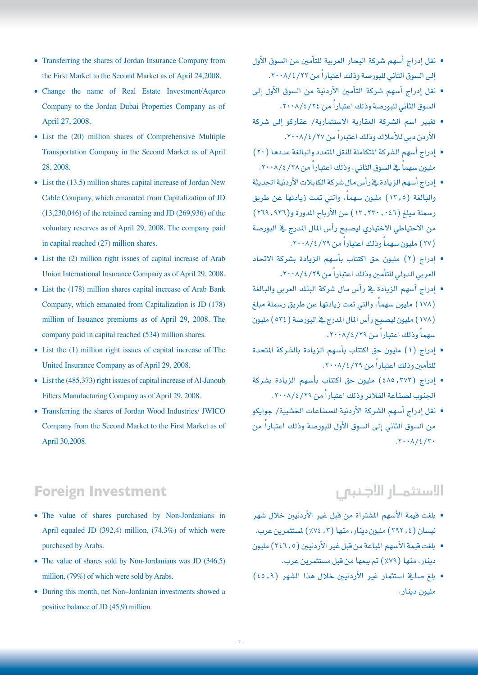- نقل إدراج أ�سهم �شركة البحار العربية للتأمني من ال�سوق الأول لى السوق الثاني للبورصة وذلك اعتباراً من ٢٢/٤/٢٠٠٨.
- نقل إدراج أ�سهم �شركة التأمني الأردنية من ال�سوق الأول إىل السوق الثاني للبورصة وذلك اعتباراً من ٢٤/٤/٤٠٨.
- تغيري ا�سم ال�شركة العقارية اال�ستثمارية/ عقاركو إىل �شركة الأردن دبي للأملاك وذلك اعتباراً من ٢٧/٤/٢٧.
- إدراج أ�سهم ال�شركة املتكاملة للنقل املتعدد والبالغة عددها )20( مليون سهماً ـ2ْ السوق الثاني، وذلك اعتباراً من ٢٨/٤/٢٨.
- إدراج أ�سهم الزيادة يف رأ�س مال �شركة الكابالت الأردنية احلديثة والبالغة (١٢,٥) مليون سهماً، والتي تمت زيادتها عن طريق رسملة ميلغ (٢٤٠, ٢٢٠, ١٢) من الأرباح المدورة و(٢٦٩, ٢٦٩) من الاحتياطي الاختياري ليصبح رأس المال المدرج يف البورصة (٢٧) مليون سهماً وذلك اعتباراً من ٢٩/٤/٢٩.
- إدراج )2( مليون حق اكتتاب بأ�سهم الزيادة ب�شركة االحتاد العربي الدولي للتأمين وذلك اعتباراً من ٢٩/٤/٢٩.
- إدراج أ�سهم الزيادة يف رأ�س مال �شركة البنك العربي والبالغة (١٧٨ ) مليون سهماً، والتي تمت زيادتها عن طريق رسملة مبلغ (١٧٨) مليون ليصبح رأس المال المدرج ية البورصة ( ٥٣٤) مليون سهماً وذلك اعتباراً من ٢٩/٤/٢٩.
- إدراج )1( مليون حق اكتتاب بأ�سهم الزيادة بال�شركة املتحدة للتأمين وذلك اعتباراً من ٢٩/٤/٢٩.
- إدراج )485.373( مليون حق اكتتاب بأ�سهم الزيادة ب�شركة الجنوب لصناعة الفلاتر وذلك اعتباراً من ٢٠٠٨/٤/٢٩.
- نقل إدراج أ�سهم ال�شركة الأردنية لل�صناعات اخل�شبية/ جوايكو من السوق الثاني إلى السوق الأول للبورصة وذلك اعتباراً من  $.7.1/2/7.$
- Transferring the shares of Jordan Insurance Company from the First Market to the Second Market as of April 24,2008.
- Change the name of Real Estate Investment/Aqarco Company to the Jordan Dubai Properties Company as of April 27, 2008.
- $\bullet$  List the (20) million shares of Comprehensive Multiple Transportation Company in the Second Market as of April 28, 2008.
- List the  $(13.5)$  million shares capital increase of Jordan New Cable Company, which emanated from Capitalization of JD  $(13,230,046)$  of the retained earning and JD  $(269,936)$  of the voluntary reserves as of April 29, 2008. The company paid in capital reached  $(27)$  million shares.
- $\bullet$  List the (2) million right issues of capital increase of Arab Union International Insurance Company as of April 29, 2008.
- $\bullet$  List the (178) million shares capital increase of Arab Bank Company, which emanated from Capitalization is JD (178) million of Issuance premiums as of April 29, 2008. The company paid in capital reached (534) million shares.
- $\bullet$  List the (1) million right issues of capital increase of The United Insurance Company as of April 29, 2008.
- $\bullet$  List the (485,373) right issues of capital increase of Al-Janoub Filters Manufacturing Company as of April 29, 2008.
- Transferring the shares of Jordan Wood Industries/ JWICO Company from the Second Market to the First Market as of 30,2008. April

## **Foreign Investment**

- The value of shares purchased by Non-Jordanians in April equaled JD  $(392,4)$  million,  $(74.3\%)$  of which were purchased by Arabs.
- The value of shares sold by Non-Jordanians was JD  $(346,5)$ million,  $(79%)$  of which were sold by Arabs.
- During this month, net Non-Jordanian investments showed a positive balance of JD  $(45,9)$  million.

## الاستثمـار الأجنبي

- بلغت قيمة الأ�سهم امل�شرتاة من قبل غري الأردنيني خالل �شهر نيسان (٢٩٢ , ٢٩٢) مليون دينار، منها (٢ , ٧٤٪) لمستثمرين عرب.
- بلغت قيمة الأسهم المباعة من قبل غير الأردنيين (٢٤٦٫٥) مليون دينار، منها (٧٩٪) تم بيعها من قبل مستثمرين عرب.
- بلغ �صايف ا�ستثمار غري الأردنيني خالل هذا ال�شهر )45.9( مليون دينار.